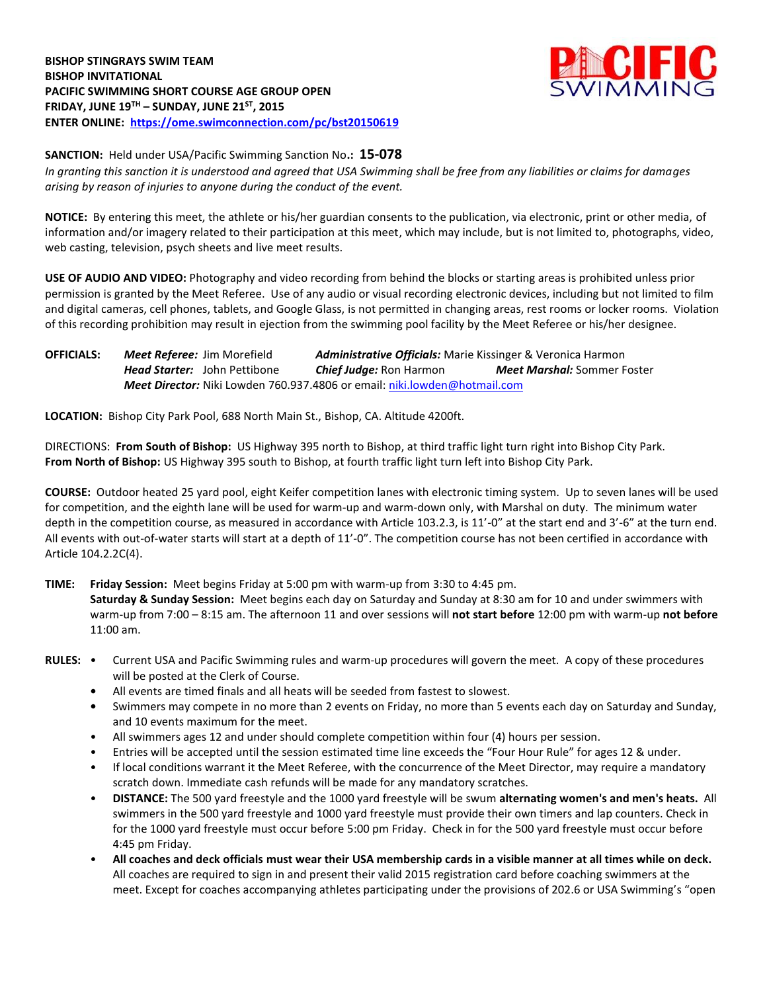

**SANCTION:** Held under USA/Pacific Swimming Sanction No**.: 15-078** *In granting this sanction it is understood and agreed that USA Swimming shall be free from any liabilities or claims for damages arising by reason of injuries to anyone during the conduct of the event.*

**NOTICE:** By entering this meet, the athlete or his/her guardian consents to the publication, via electronic, print or other media, of information and/or imagery related to their participation at this meet, which may include, but is not limited to, photographs, video, web casting, television, psych sheets and live meet results.

**USE OF AUDIO AND VIDEO:** Photography and video recording from behind the blocks or starting areas is prohibited unless prior permission is granted by the Meet Referee. Use of any audio or visual recording electronic devices, including but not limited to film and digital cameras, cell phones, tablets, and Google Glass, is not permitted in changing areas, rest rooms or locker rooms. Violation of this recording prohibition may result in ejection from the swimming pool facility by the Meet Referee or his/her designee.

**OFFICIALS:** *Meet Referee:* Jim Morefield *Administrative Officials:* Marie Kissinger & Veronica Harmon *Head Starter:* John Pettibone *Chief Judge:* Ron Harmon *Meet Marshal:* Sommer Foster *Meet Director:* Niki Lowden 760.937.4806 or email[: niki.lowden@hotmail.com](mailto:niki.lowden@hotmail.com)

**LOCATION:** Bishop City Park Pool, 688 North Main St., Bishop, CA. Altitude 4200ft.

DIRECTIONS: **From South of Bishop:** US Highway 395 north to Bishop, at third traffic light turn right into Bishop City Park. **From North of Bishop:** US Highway 395 south to Bishop, at fourth traffic light turn left into Bishop City Park.

**COURSE:** Outdoor heated 25 yard pool, eight Keifer competition lanes with electronic timing system. Up to seven lanes will be used for competition, and the eighth lane will be used for warm-up and warm-down only, with Marshal on duty. The minimum water depth in the competition course, as measured in accordance with Article 103.2.3, is 11'-0" at the start end and 3'-6" at the turn end. All events with out-of-water starts will start at a depth of 11'-0". The competition course has not been certified in accordance with Article 104.2.2C(4).

**TIME: Friday Session:** Meet begins Friday at 5:00 pm with warm-up from 3:30 to 4:45 pm.

**Saturday & Sunday Session:** Meet begins each day on Saturday and Sunday at 8:30 am for 10 and under swimmers with warm-up from 7:00 – 8:15 am. The afternoon 11 and over sessions will **not start before** 12:00 pm with warm-up **not before**  11:00 am.

- **RULES:** Current USA and Pacific Swimming rules and warm-up procedures will govern the meet. A copy of these procedures will be posted at the Clerk of Course.
	- **•** All events are timed finals and all heats will be seeded from fastest to slowest.
	- Swimmers may compete in no more than 2 events on Friday, no more than 5 events each day on Saturday and Sunday, and 10 events maximum for the meet.
	- All swimmers ages 12 and under should complete competition within four (4) hours per session.
	- Entries will be accepted until the session estimated time line exceeds the "Four Hour Rule" for ages 12 & under.
	- If local conditions warrant it the Meet Referee, with the concurrence of the Meet Director, may require a mandatory scratch down. Immediate cash refunds will be made for any mandatory scratches.
	- **DISTANCE:** The 500 yard freestyle and the 1000 yard freestyle will be swum **alternating women's and men's heats.** All swimmers in the 500 yard freestyle and 1000 yard freestyle must provide their own timers and lap counters. Check in for the 1000 yard freestyle must occur before 5:00 pm Friday. Check in for the 500 yard freestyle must occur before 4:45 pm Friday.
	- **All coaches and deck officials must wear their USA membership cards in a visible manner at all times while on deck.** All coaches are required to sign in and present their valid 2015 registration card before coaching swimmers at the meet. Except for coaches accompanying athletes participating under the provisions of 202.6 or USA Swimming's "open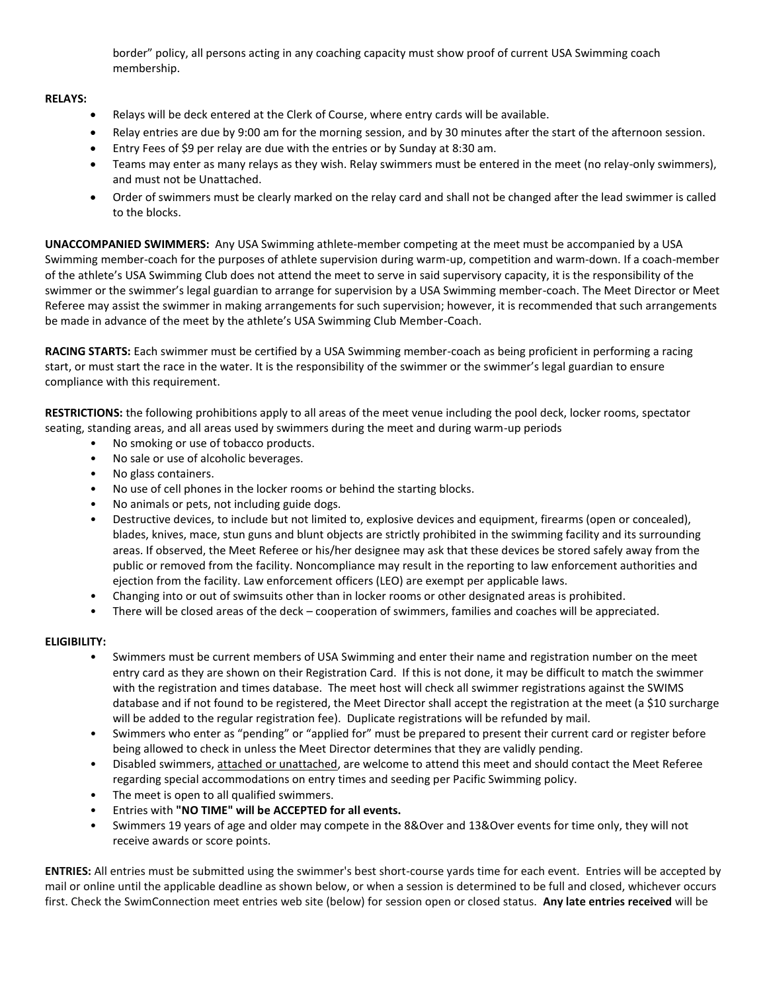border" policy, all persons acting in any coaching capacity must show proof of current USA Swimming coach membership.

## **RELAYS:**

- Relays will be deck entered at the Clerk of Course, where entry cards will be available.
- Relay entries are due by 9:00 am for the morning session, and by 30 minutes after the start of the afternoon session.
- Entry Fees of \$9 per relay are due with the entries or by Sunday at 8:30 am.
- Teams may enter as many relays as they wish. Relay swimmers must be entered in the meet (no relay-only swimmers), and must not be Unattached.
- Order of swimmers must be clearly marked on the relay card and shall not be changed after the lead swimmer is called to the blocks.

**UNACCOMPANIED SWIMMERS:** Any USA Swimming athlete-member competing at the meet must be accompanied by a USA Swimming member-coach for the purposes of athlete supervision during warm-up, competition and warm-down. If a coach-member of the athlete's USA Swimming Club does not attend the meet to serve in said supervisory capacity, it is the responsibility of the swimmer or the swimmer's legal guardian to arrange for supervision by a USA Swimming member-coach. The Meet Director or Meet Referee may assist the swimmer in making arrangements for such supervision; however, it is recommended that such arrangements be made in advance of the meet by the athlete's USA Swimming Club Member-Coach.

**RACING STARTS:** Each swimmer must be certified by a USA Swimming member-coach as being proficient in performing a racing start, or must start the race in the water. It is the responsibility of the swimmer or the swimmer's legal guardian to ensure compliance with this requirement.

**RESTRICTIONS:** the following prohibitions apply to all areas of the meet venue including the pool deck, locker rooms, spectator seating, standing areas, and all areas used by swimmers during the meet and during warm-up periods

- No smoking or use of tobacco products.
- No sale or use of alcoholic beverages.
- No glass containers.
- No use of cell phones in the locker rooms or behind the starting blocks.
- No animals or pets, not including guide dogs.
- Destructive devices, to include but not limited to, explosive devices and equipment, firearms (open or concealed), blades, knives, mace, stun guns and blunt objects are strictly prohibited in the swimming facility and its surrounding areas. If observed, the Meet Referee or his/her designee may ask that these devices be stored safely away from the public or removed from the facility. Noncompliance may result in the reporting to law enforcement authorities and ejection from the facility. Law enforcement officers (LEO) are exempt per applicable laws.
- Changing into or out of swimsuits other than in locker rooms or other designated areas is prohibited.
- There will be closed areas of the deck cooperation of swimmers, families and coaches will be appreciated.

## **ELIGIBILITY:**

- Swimmers must be current members of USA Swimming and enter their name and registration number on the meet entry card as they are shown on their Registration Card. If this is not done, it may be difficult to match the swimmer with the registration and times database. The meet host will check all swimmer registrations against the SWIMS database and if not found to be registered, the Meet Director shall accept the registration at the meet (a \$10 surcharge will be added to the regular registration fee). Duplicate registrations will be refunded by mail.
- Swimmers who enter as "pending" or "applied for" must be prepared to present their current card or register before being allowed to check in unless the Meet Director determines that they are validly pending.
- Disabled swimmers, attached or unattached, are welcome to attend this meet and should contact the Meet Referee regarding special accommodations on entry times and seeding per Pacific Swimming policy.
- The meet is open to all qualified swimmers.
- Entries with **"NO TIME" will be ACCEPTED for all events.**
- Swimmers 19 years of age and older may compete in the 8&Over and 13&Over events for time only, they will not receive awards or score points.

**ENTRIES:** All entries must be submitted using the swimmer's best short-course yards time for each event. Entries will be accepted by mail or online until the applicable deadline as shown below, or when a session is determined to be full and closed, whichever occurs first. Check the SwimConnection meet entries web site (below) for session open or closed status. **Any late entries received** will be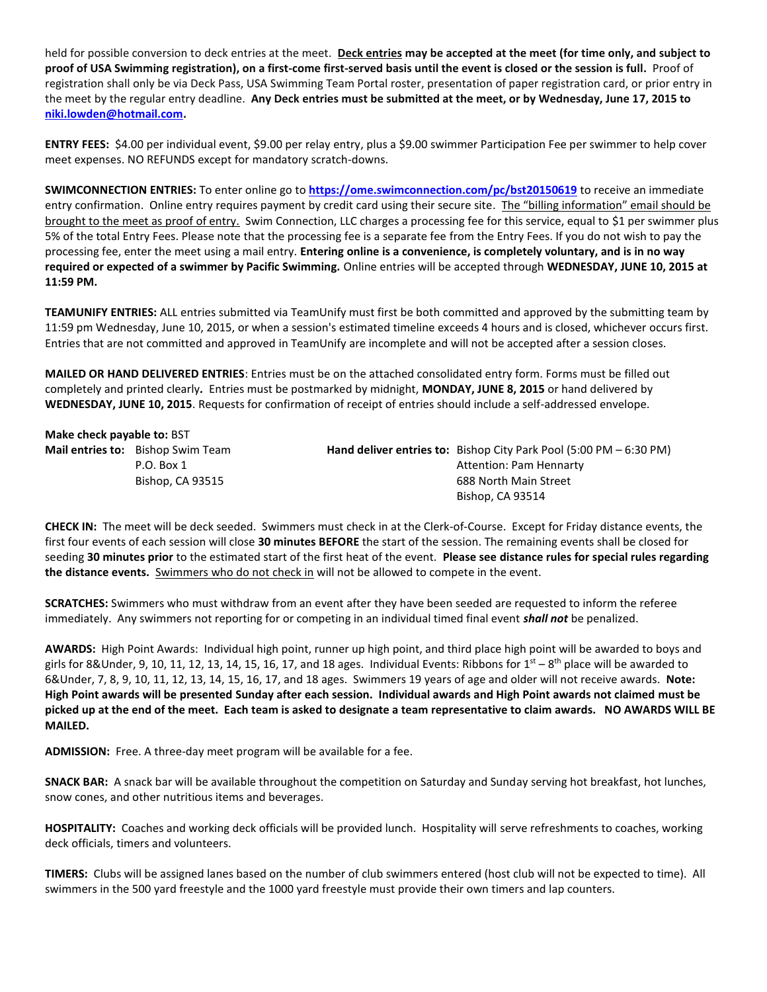held for possible conversion to deck entries at the meet. **Deck entries may be accepted at the meet (for time only, and subject to proof of USA Swimming registration), on a first-come first-served basis until the event is closed or the session is full.** Proof of registration shall only be via Deck Pass, USA Swimming Team Portal roster, presentation of paper registration card, or prior entry in the meet by the regular entry deadline. **Any Deck entries must be submitted at the meet, or by Wednesday, June 17, 2015 to [niki.lowden@hotmail.com.](mailto:niki.lowden@hotmail.com)**

**ENTRY FEES:** \$4.00 per individual event, \$9.00 per relay entry, plus a \$9.00 swimmer Participation Fee per swimmer to help cover meet expenses. NO REFUNDS except for mandatory scratch-downs.

**SWIMCONNECTION ENTRIES:** To enter online go to **<https://ome.swimconnection.com/pc/bst20150619>** to receive an immediate entry confirmation. Online entry requires payment by credit card using their secure site. The "billing information" email should be brought to the meet as proof of entry. Swim Connection, LLC charges a processing fee for this service, equal to \$1 per swimmer plus 5% of the total Entry Fees. Please note that the processing fee is a separate fee from the Entry Fees. If you do not wish to pay the processing fee, enter the meet using a mail entry. **Entering online is a convenience, is completely voluntary, and is in no way required or expected of a swimmer by Pacific Swimming.** Online entries will be accepted through **WEDNESDAY, JUNE 10, 2015 at 11:59 PM.**

**TEAMUNIFY ENTRIES:** ALL entries submitted via TeamUnify must first be both committed and approved by the submitting team by 11:59 pm Wednesday, June 10, 2015, or when a session's estimated timeline exceeds 4 hours and is closed, whichever occurs first. Entries that are not committed and approved in TeamUnify are incomplete and will not be accepted after a session closes.

**MAILED OR HAND DELIVERED ENTRIES**: Entries must be on the attached consolidated entry form. Forms must be filled out completely and printed clearly*.* Entries must be postmarked by midnight, **MONDAY, JUNE 8, 2015** or hand delivered by **WEDNESDAY, JUNE 10, 2015**. Requests for confirmation of receipt of entries should include a self-addressed envelope.

| Make check payable to: BST |                                          |  |                                                                                             |  |  |  |  |  |  |
|----------------------------|------------------------------------------|--|---------------------------------------------------------------------------------------------|--|--|--|--|--|--|
|                            | <b>Mail entries to:</b> Bishop Swim Team |  | <b>Hand deliver entries to:</b> Bishop City Park Pool $(5:00 \text{ PM} - 6:30 \text{ PM})$ |  |  |  |  |  |  |
|                            | $P.O.$ Box 1                             |  | Attention: Pam Hennarty                                                                     |  |  |  |  |  |  |
|                            | Bishop, CA 93515                         |  | 688 North Main Street                                                                       |  |  |  |  |  |  |
|                            |                                          |  | Bishop, CA 93514                                                                            |  |  |  |  |  |  |

**CHECK IN:** The meet will be deck seeded. Swimmers must check in at the Clerk-of-Course. Except for Friday distance events, the first four events of each session will close **30 minutes BEFORE** the start of the session. The remaining events shall be closed for seeding **30 minutes prior** to the estimated start of the first heat of the event. **Please see distance rules for special rules regarding the distance events.** Swimmers who do not check in will not be allowed to compete in the event.

**SCRATCHES:** Swimmers who must withdraw from an event after they have been seeded are requested to inform the referee immediately. Any swimmers not reporting for or competing in an individual timed final event *shall not* be penalized.

**AWARDS:** High Point Awards: Individual high point, runner up high point, and third place high point will be awarded to boys and girls for 8&Under, 9, 10, 11, 12, 13, 14, 15, 16, 17, and 18 ages. Individual Events: Ribbons for  $1<sup>st</sup> - 8<sup>th</sup>$  place will be awarded to 6&Under, 7, 8, 9, 10, 11, 12, 13, 14, 15, 16, 17, and 18 ages. Swimmers 19 years of age and older will not receive awards. **Note: High Point awards will be presented Sunday after each session. Individual awards and High Point awards not claimed must be picked up at the end of the meet. Each team is asked to designate a team representative to claim awards. NO AWARDS WILL BE MAILED.**

**ADMISSION:** Free. A three-day meet program will be available for a fee.

**SNACK BAR:** A snack bar will be available throughout the competition on Saturday and Sunday serving hot breakfast, hot lunches, snow cones, and other nutritious items and beverages.

**HOSPITALITY:** Coaches and working deck officials will be provided lunch. Hospitality will serve refreshments to coaches, working deck officials, timers and volunteers.

**TIMERS:** Clubs will be assigned lanes based on the number of club swimmers entered (host club will not be expected to time). All swimmers in the 500 yard freestyle and the 1000 yard freestyle must provide their own timers and lap counters.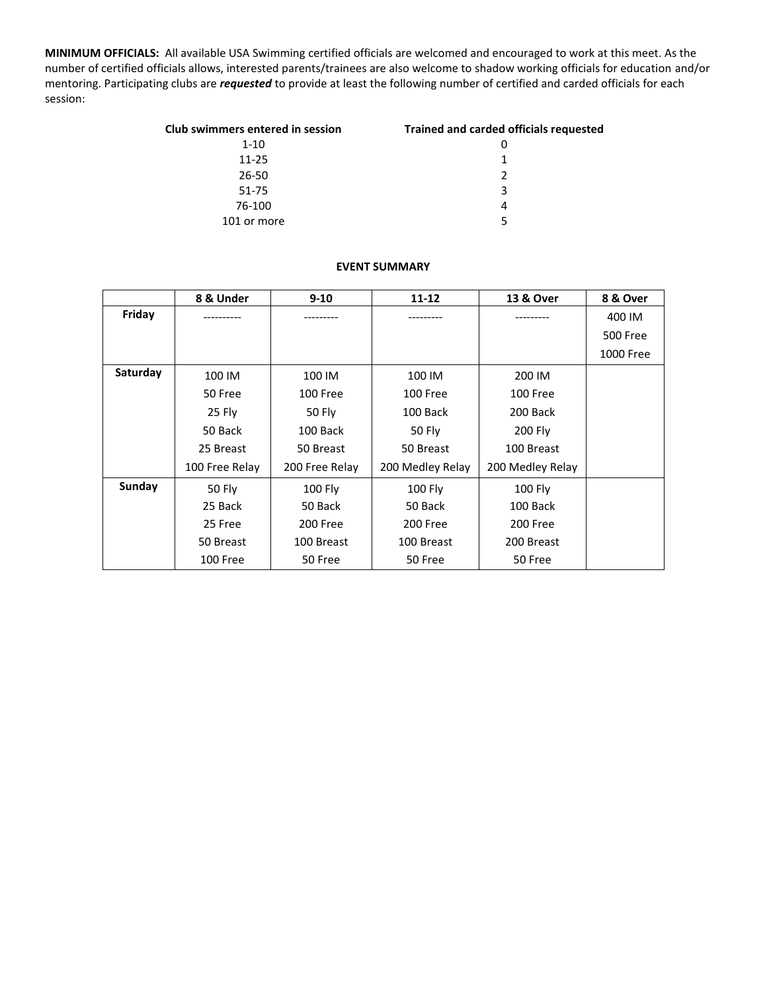**MINIMUM OFFICIALS:** All available USA Swimming certified officials are welcomed and encouraged to work at this meet. As the number of certified officials allows, interested parents/trainees are also welcome to shadow working officials for education and/or mentoring. Participating clubs are *requested* to provide at least the following number of certified and carded officials for each session:

| Club swimmers entered in session | <b>Trained and carded officials requested</b> |
|----------------------------------|-----------------------------------------------|
| $1 - 10$                         |                                               |
| $11 - 25$                        | 1                                             |
| 26-50                            | 2                                             |
| 51-75                            | 3                                             |
| 76-100                           | 4                                             |
| 101 or more                      | 5                                             |

## **EVENT SUMMARY**

|          | 8 & Under      | $9 - 10$       | $11 - 12$        | 13 & Over        | 8 & Over  |
|----------|----------------|----------------|------------------|------------------|-----------|
| Friday   |                |                |                  |                  | 400 IM    |
|          |                |                |                  |                  | 500 Free  |
|          |                |                |                  |                  | 1000 Free |
| Saturday | 100 IM         | 100 IM         | 100 IM           | 200 IM           |           |
|          | 50 Free        | 100 Free       | <b>100 Free</b>  | 100 Free         |           |
|          | 25 Fly         | 50 Fly         | 100 Back         | 200 Back         |           |
|          | 50 Back        | 100 Back       | 50 Fly           | 200 Fly          |           |
|          | 25 Breast      | 50 Breast      | 50 Breast        | 100 Breast       |           |
|          | 100 Free Relay | 200 Free Relay | 200 Medley Relay | 200 Medley Relay |           |
| Sunday   | 50 Fly         | 100 Fly        | <b>100 Fly</b>   | <b>100 Fly</b>   |           |
|          | 25 Back        | 50 Back        | 50 Back          | 100 Back         |           |
|          | 25 Free        | 200 Free       | 200 Free         | 200 Free         |           |
|          | 50 Breast      | 100 Breast     | 100 Breast       | 200 Breast       |           |
|          | 100 Free       | 50 Free        | 50 Free          | 50 Free          |           |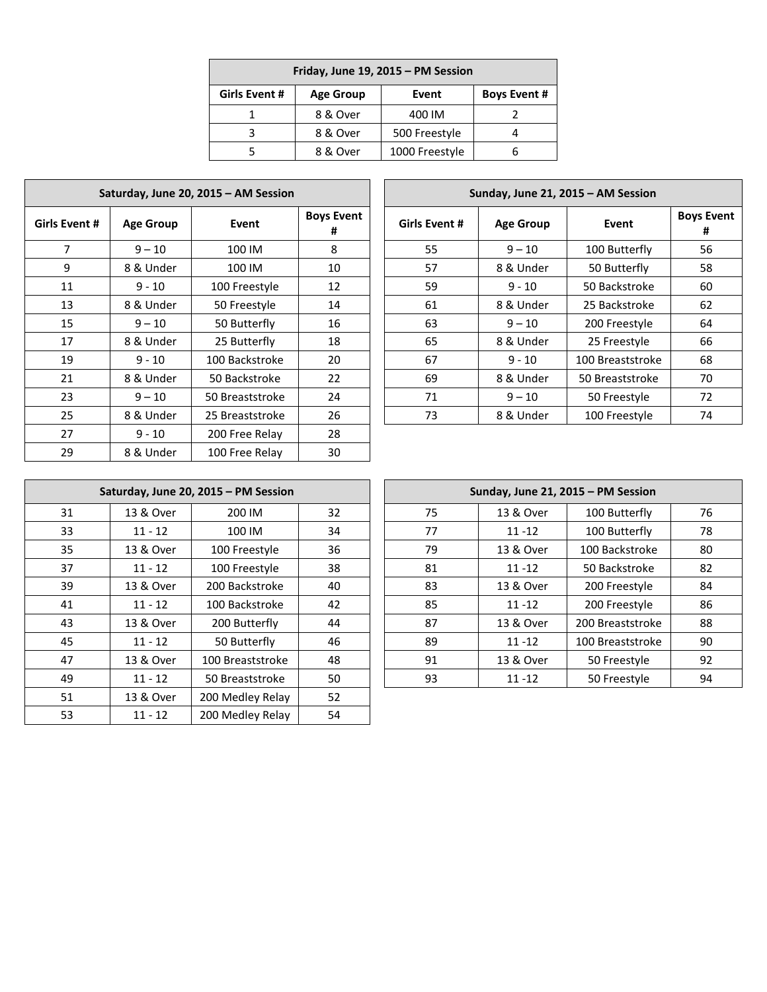| Friday, June 19, 2015 - PM Session                                       |          |                |  |  |  |  |  |
|--------------------------------------------------------------------------|----------|----------------|--|--|--|--|--|
| <b>Girls Event #</b><br><b>Boys Event #</b><br><b>Age Group</b><br>Event |          |                |  |  |  |  |  |
|                                                                          | 8 & Over | 400 IM         |  |  |  |  |  |
|                                                                          | 8 & Over | 500 Freestyle  |  |  |  |  |  |
|                                                                          | 8 & Over | 1000 Freestyle |  |  |  |  |  |

| Saturday, June 20, 2015 - AM Session |                  |                 |                        |  |  |  |  |  |
|--------------------------------------|------------------|-----------------|------------------------|--|--|--|--|--|
| Girls Event #                        | <b>Age Group</b> | Event           | <b>Boys Event</b><br># |  |  |  |  |  |
| 7                                    | $9 - 10$         | 100 IM          | 8                      |  |  |  |  |  |
| 9                                    | 8 & Under        | 100 IM          | 10                     |  |  |  |  |  |
| 11                                   | $9 - 10$         | 100 Freestyle   | 12                     |  |  |  |  |  |
| 13                                   | 8 & Under        | 50 Freestyle    | 14                     |  |  |  |  |  |
| 15                                   | $9 - 10$         | 50 Butterfly    | 16                     |  |  |  |  |  |
| 17                                   | 8 & Under        | 25 Butterfly    | 18                     |  |  |  |  |  |
| 19                                   | $9 - 10$         | 100 Backstroke  | 20                     |  |  |  |  |  |
| 21                                   | 8 & Under        | 50 Backstroke   | 22                     |  |  |  |  |  |
| 23                                   | $9 - 10$         | 50 Breaststroke | 24                     |  |  |  |  |  |
| 25                                   | 8 & Under        | 25 Breaststroke | 26                     |  |  |  |  |  |
| 27                                   | $9 - 10$         | 200 Free Relay  | 28                     |  |  |  |  |  |
| 29                                   | 8 & Under        | 100 Free Relay  | 30                     |  |  |  |  |  |

| Saturday, June 20, 2015 - AM Session |                  |                 | Sunday, June 21, 2015 - AM Session |               |                  |                  |                        |
|--------------------------------------|------------------|-----------------|------------------------------------|---------------|------------------|------------------|------------------------|
| Event#                               | <b>Age Group</b> | Event           | <b>Boys Event</b><br>#             | Girls Event # | <b>Age Group</b> | Event            | <b>Boys Event</b><br># |
| $\overline{7}$                       | $9 - 10$         | 100 IM          | 8                                  | 55            | $9 - 10$         | 100 Butterfly    | 56                     |
| 9                                    | 8 & Under        | 100 IM          | 10                                 | 57            | 8 & Under        | 50 Butterfly     | 58                     |
| 11                                   | $9 - 10$         | 100 Freestyle   | 12                                 | 59            | $9 - 10$         | 50 Backstroke    | 60                     |
| 13                                   | 8 & Under        | 50 Freestyle    | 14                                 | 61            | 8 & Under        | 25 Backstroke    | 62                     |
| 15                                   | $9 - 10$         | 50 Butterfly    | 16                                 | 63            | $9 - 10$         | 200 Freestyle    | 64                     |
| 17                                   | 8 & Under        | 25 Butterfly    | 18                                 | 65            | 8 & Under        | 25 Freestyle     | 66                     |
| 19                                   | $9 - 10$         | 100 Backstroke  | 20                                 | 67            | $9 - 10$         | 100 Breaststroke | 68                     |
| 21                                   | 8 & Under        | 50 Backstroke   | 22                                 | 69            | 8 & Under        | 50 Breaststroke  | 70                     |
| 23.                                  | $9 - 10$         | 50 Breaststroke | 24                                 | 71            | $9 - 10$         | 50 Freestyle     | 72                     |
| 25.                                  | 8 & Under        | 25 Breaststroke | 26                                 | 73            | 8 & Under        | 100 Freestyle    | 74                     |
|                                      |                  |                 |                                    |               |                  |                  |                        |

| Saturday, June 20, 2015 - PM Session |           |                  |    |  |  |  |  |  |
|--------------------------------------|-----------|------------------|----|--|--|--|--|--|
| 31                                   | 13 & Over | 200 IM           | 32 |  |  |  |  |  |
| 33                                   | $11 - 12$ | 100 IM           | 34 |  |  |  |  |  |
| 35                                   | 13 & Over | 100 Freestyle    | 36 |  |  |  |  |  |
| 37                                   | $11 - 12$ | 100 Freestyle    | 38 |  |  |  |  |  |
| 39                                   | 13 & Over | 200 Backstroke   | 40 |  |  |  |  |  |
| 41                                   | $11 - 12$ | 100 Backstroke   | 42 |  |  |  |  |  |
| 43                                   | 13 & Over | 200 Butterfly    | 44 |  |  |  |  |  |
| 45                                   | $11 - 12$ | 50 Butterfly     | 46 |  |  |  |  |  |
| 47                                   | 13 & Over | 100 Breaststroke | 48 |  |  |  |  |  |
| 49                                   | $11 - 12$ | 50 Breaststroke  | 50 |  |  |  |  |  |
| 51                                   | 13 & Over | 200 Medley Relay | 52 |  |  |  |  |  |
| 53                                   | $11 - 12$ | 200 Medley Relay | 54 |  |  |  |  |  |

|     |           | Saturday, June 20, 2015 - PM Session |    | Sunday, June 21, 2015 - PM Session |    |           |                  |    |
|-----|-----------|--------------------------------------|----|------------------------------------|----|-----------|------------------|----|
| 31  | 13 & Over | 200 IM                               | 32 |                                    | 75 | 13 & Over | 100 Butterfly    | 76 |
| 33  | $11 - 12$ | 100 IM                               | 34 |                                    | 77 | $11 - 12$ | 100 Butterfly    | 78 |
| 35. | 13 & Over | 100 Freestyle                        | 36 |                                    | 79 | 13 & Over | 100 Backstroke   | 80 |
| 37  | $11 - 12$ | 100 Freestyle                        | 38 |                                    | 81 | $11 - 12$ | 50 Backstroke    | 82 |
| 39  | 13 & Over | 200 Backstroke                       | 40 |                                    | 83 | 13 & Over | 200 Freestyle    | 84 |
| 41  | $11 - 12$ | 100 Backstroke                       | 42 |                                    | 85 | $11 - 12$ | 200 Freestyle    | 86 |
| 43  | 13 & Over | 200 Butterfly                        | 44 |                                    | 87 | 13 & Over | 200 Breaststroke | 88 |
| 45  | $11 - 12$ | 50 Butterfly                         | 46 |                                    | 89 | $11 - 12$ | 100 Breaststroke | 90 |
| 47  | 13 & Over | 100 Breaststroke                     | 48 |                                    | 91 | 13 & Over | 50 Freestyle     | 92 |
| 49  | $11 - 12$ | 50 Breaststroke                      | 50 |                                    | 93 | $11 - 12$ | 50 Freestyle     | 94 |